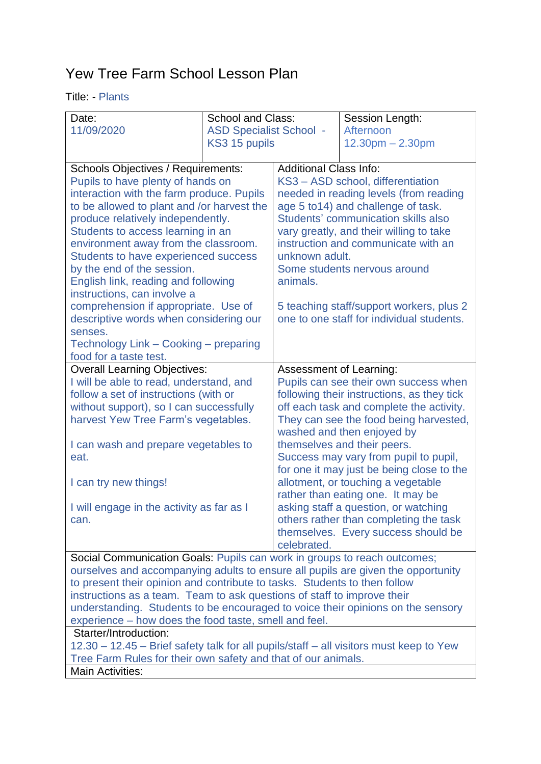## Yew Tree Farm School Lesson Plan

Title: - Plants

| Date:                                                                                                                                                        | <b>School and Class:</b>       |                                            | Session Length:                           |  |
|--------------------------------------------------------------------------------------------------------------------------------------------------------------|--------------------------------|--------------------------------------------|-------------------------------------------|--|
| 11/09/2020                                                                                                                                                   | <b>ASD Specialist School -</b> |                                            | Afternoon                                 |  |
|                                                                                                                                                              | KS3 15 pupils                  |                                            | $12.30pm - 2.30pm$                        |  |
|                                                                                                                                                              |                                |                                            |                                           |  |
| <b>Schools Objectives / Requirements:</b>                                                                                                                    |                                | <b>Additional Class Info:</b>              |                                           |  |
| Pupils to have plenty of hands on                                                                                                                            |                                | KS3 - ASD school, differentiation          |                                           |  |
| interaction with the farm produce. Pupils                                                                                                                    |                                | needed in reading levels (from reading     |                                           |  |
| to be allowed to plant and /or harvest the                                                                                                                   |                                | age 5 to 14) and challenge of task.        |                                           |  |
| produce relatively independently.                                                                                                                            |                                | Students' communication skills also        |                                           |  |
| Students to access learning in an                                                                                                                            |                                | vary greatly, and their willing to take    |                                           |  |
| environment away from the classroom.                                                                                                                         |                                | instruction and communicate with an        |                                           |  |
| <b>Students to have experienced success</b>                                                                                                                  |                                | unknown adult.                             |                                           |  |
| by the end of the session.                                                                                                                                   |                                | Some students nervous around               |                                           |  |
| English link, reading and following                                                                                                                          |                                | animals.                                   |                                           |  |
| instructions, can involve a                                                                                                                                  |                                |                                            | 5 teaching staff/support workers, plus 2  |  |
| comprehension if appropriate. Use of<br>descriptive words when considering our                                                                               |                                | one to one staff for individual students.  |                                           |  |
| senses.                                                                                                                                                      |                                |                                            |                                           |  |
| Technology Link - Cooking - preparing                                                                                                                        |                                |                                            |                                           |  |
| food for a taste test.                                                                                                                                       |                                |                                            |                                           |  |
| <b>Overall Learning Objectives:</b>                                                                                                                          |                                | Assessment of Learning:                    |                                           |  |
| I will be able to read, understand, and                                                                                                                      |                                | Pupils can see their own success when      |                                           |  |
| follow a set of instructions (with or                                                                                                                        |                                | following their instructions, as they tick |                                           |  |
| without support), so I can successfully                                                                                                                      |                                | off each task and complete the activity.   |                                           |  |
| harvest Yew Tree Farm's vegetables.                                                                                                                          |                                |                                            | They can see the food being harvested,    |  |
|                                                                                                                                                              |                                |                                            | washed and then enjoyed by                |  |
| I can wash and prepare vegetables to                                                                                                                         |                                |                                            | themselves and their peers.               |  |
| eat.                                                                                                                                                         |                                |                                            | Success may vary from pupil to pupil,     |  |
|                                                                                                                                                              |                                |                                            | for one it may just be being close to the |  |
| I can try new things!                                                                                                                                        |                                |                                            | allotment, or touching a vegetable        |  |
|                                                                                                                                                              |                                |                                            | rather than eating one. It may be         |  |
| I will engage in the activity as far as I                                                                                                                    |                                |                                            | asking staff a question, or watching      |  |
| can.                                                                                                                                                         |                                |                                            | others rather than completing the task    |  |
|                                                                                                                                                              |                                | celebrated.                                | themselves. Every success should be       |  |
|                                                                                                                                                              |                                |                                            |                                           |  |
| Social Communication Goals: Pupils can work in groups to reach outcomes;<br>ourselves and accompanying adults to ensure all pupils are given the opportunity |                                |                                            |                                           |  |
| to present their opinion and contribute to tasks. Students to then follow                                                                                    |                                |                                            |                                           |  |
| instructions as a team. Team to ask questions of staff to improve their                                                                                      |                                |                                            |                                           |  |
| understanding. Students to be encouraged to voice their opinions on the sensory                                                                              |                                |                                            |                                           |  |
| experience – how does the food taste, smell and feel.                                                                                                        |                                |                                            |                                           |  |
| Starter/Introduction:                                                                                                                                        |                                |                                            |                                           |  |
| 12.30 - 12.45 - Brief safety talk for all pupils/staff - all visitors must keep to Yew                                                                       |                                |                                            |                                           |  |
| Tree Farm Rules for their own safety and that of our animals.                                                                                                |                                |                                            |                                           |  |
| <b>Main Activities:</b>                                                                                                                                      |                                |                                            |                                           |  |